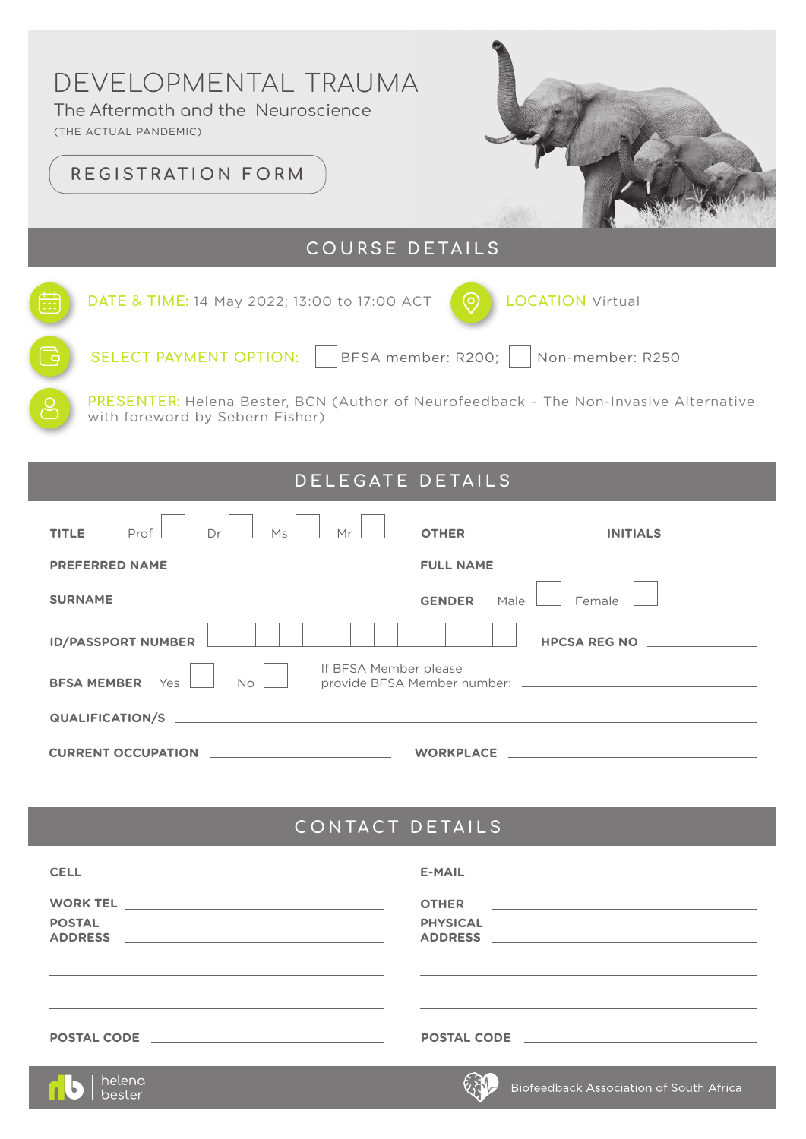# DEVELOPMENTAL TRAUMA

The Aftermath and the Neuroscience

(THE ACTUAL PANDEMIC)

## **REGISTRATION FORM**



## **COURSE DETAILS**

| 曲          | DATE & TIME: 14 May 2022; 13:00 to 17:00 ACT<br>(o)<br><b>LOCATION Virtual</b>                                                  |
|------------|---------------------------------------------------------------------------------------------------------------------------------|
| $\sqrt{2}$ | SELECT PAYMENT OPTION:    BFSA member: R200;     Non-member: R250                                                               |
|            | <b>PRESENTER:</b> Helena Bester, BCN (Author of Neurofeedback - The Non-Invasive Alternative<br>with foreword by Sebern Fisher) |

### **DELEGATE DETAILS**

| Ms<br>Mr<br>Dr<br>Prof<br><b>TITLE</b>                                       |                                                                                                                |  |  |
|------------------------------------------------------------------------------|----------------------------------------------------------------------------------------------------------------|--|--|
|                                                                              |                                                                                                                |  |  |
|                                                                              | <b>GENDER</b><br>Male<br>Female                                                                                |  |  |
| <b>ID/PASSPORT NUMBER</b>                                                    | HPCSA REG NO _________________                                                                                 |  |  |
| If BFSA Member please<br>No<br><b>BFSA MEMBER</b><br>Yes                     |                                                                                                                |  |  |
|                                                                              |                                                                                                                |  |  |
| <u> 1980 - Andrea Barbara, poeta esperanto-</u><br><b>CURRENT OCCUPATION</b> | WORKPLACE AND A SERVICE AND A STRUCK AND A STRUCK AND A STRUCK AND A STRUCK AND A STRUCK AND A STRUCK AND A ST |  |  |

## **CONTACT DETAILS**

| <b>CELL</b><br><u> 1989 - Andrea Stadt Britain, amerikansk politik (</u> | $E-MAIL$ and $E$ and $E$ and $E$ and $E$ and $E$ and $E$ and $E$ and $E$ and $E$ and $E$ and $E$ and $E$ and $E$ and $E$ and $E$ and $E$ and $E$ and $E$ and $E$ and $E$ and $E$ and $E$ and $E$ and $E$ and $E$ and $E$ and $E$ |
|--------------------------------------------------------------------------|----------------------------------------------------------------------------------------------------------------------------------------------------------------------------------------------------------------------------------|
| <b>POSTAL</b><br><b>ADDRESS</b>                                          | <b>OTHER</b><br><u> 1980 - Jan Barat, margaret eta idazlea (h. 1980).</u><br><b>PHYSICAL</b><br><b>ADDRESS</b>                                                                                                                   |
|                                                                          |                                                                                                                                                                                                                                  |
| <b>POSTAL CODE EXAMPLE 2008</b>                                          | POSTAL CODE POSTAL CODE                                                                                                                                                                                                          |